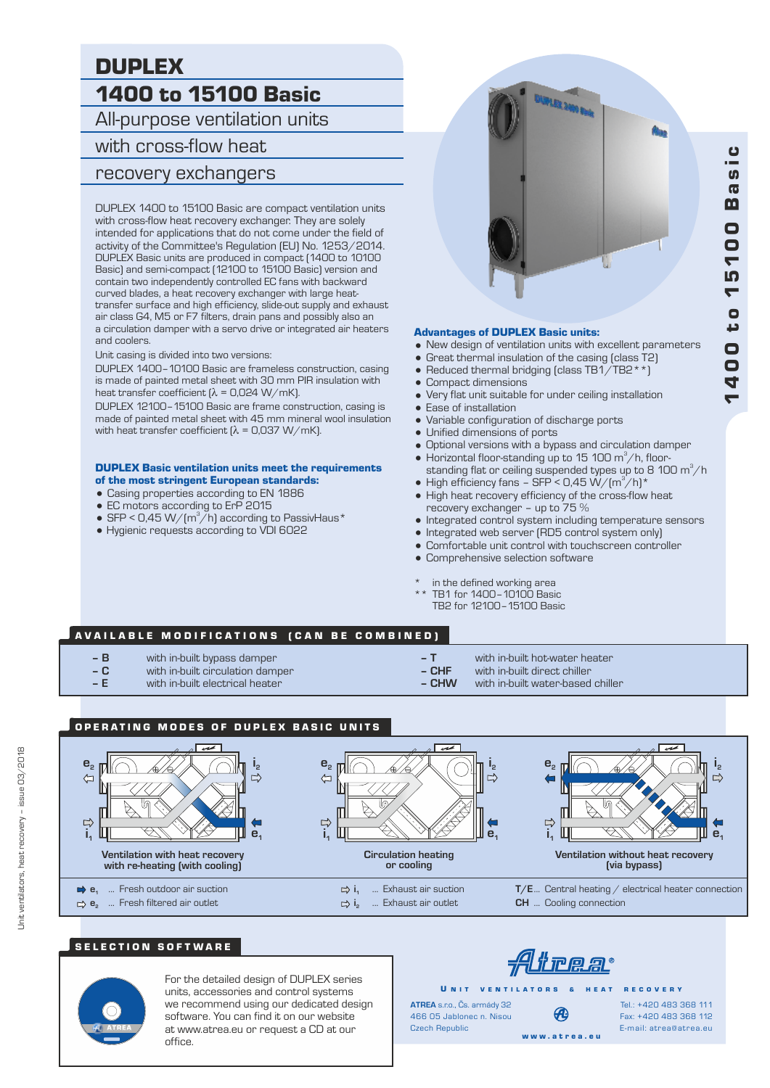# DUPLEX 1400 to 15100 Basic

All-purpose ventilation units

## with cross-flow heat

## recovery exchangers

DUPLEX 1400 to 15100 Basic are compact ventilation units with cross-flow heat recovery exchanger. They are solely intended for applications that do not come under the field of activity of the Committee's Regulation (EU) No. 1253/2014. DUPLEX Basic units are produced in compact (1400 to 10100 Basic) and semi-compact (12100 to 15100 Basic) version and contain two independently controlled EC fans with backward curved blades, a heat recovery exchanger with large heattransfer surface and high efficiency, slide-out supply and exhaust air class G4, M5 or F7 filters, drain pans and possibly also an a circulation damper with a servo drive or integrated air heaters and coolers.

Unit casing is divided into two versions:

DUPLEX 1400–10100 Basic are frameless construction, casing is made of painted metal sheet with 30 mm PIR insulation with heat transfer coefficient ( $\lambda$  = 0,024 W/mK).

DUPLEX 12100–15100 Basic are frame construction, casing is made of painted metal sheet with 45 mm mineral wool insulation with heat transfer coefficient  $[\lambda = 0.037 \text{ W/mK}]$ .

#### DUPLEX Basic ventilation units meet the requirements of the most stringent European standards:

- Casing properties according to EN 1886
- EC motors according to ErP 2015
- SFP < 0,45  $W/(m^3/h)$  according to PassivHaus\*
- = Hygienic requests according to VDI 6022

#### Advantages of DUPLEX Basic units:

- New design of ventilation units with excellent parameters
- Great thermal insulation of the casing (class T2)
- Reduced thermal bridging (class  $TB1/TB2**$ )
- Compact dimensions
- Very flat unit suitable for under ceiling installation
- Ease of installation
- Variable configuration of discharge ports
- Unified dimensions of ports
- Optional versions with a bypass and circulation damper  $\bullet$  Horizontal floor-standing up to 15 100 m<sup>3</sup>/h, floor-
- standing flat or ceiling suspended types up to 8 100  $\text{m}^3\text{/h}$ • High efficiency fans – SFP < 0,45  $\text{W}/\text{m}^3/\text{h}$  \*
- High heat recovery efficiency of the cross-flow heat recovery exchanger – up to 75 %
- Integrated control system including temperature sensors
- Integrated web server (RD5 control system only)
- Comfortable unit control with touchscreen controller
- Comprehensive selection software
- in the defined working area
- TB1 for 1400-10100 Basic TB2 for 12100–15100 Basic

#### AVAILABLE MODIFICATIONS (CAN BE COMBINED)

- **B** with in-built bypass damper<br> **C** with in-built circulation dam
- **C** with in-built circulation damper
- with in-built electrical heater
- **T** with in-built hot-water heater
- **CHF** with in-built direct chiller
	- **CHW** with in-built water-based chiller





#### SELECTION SOFTWARE



For the detailed design of DUPLEX series units, accessories and control systems we recommend using our dedicated design software. You can find it on our website at www.atrea.eu or request a CD at our office.



w w w . a t r e a . e u

**ATREA** s.r.o., Čs. armády 32 U N IT VENTILATORS & HEAT RECOVERY

Czech Republic 466 05 Jablonec n. Nisou

Fax: +420 483 368 112 E-mail: atrea@atrea.eu Tel.: +420 483 368 111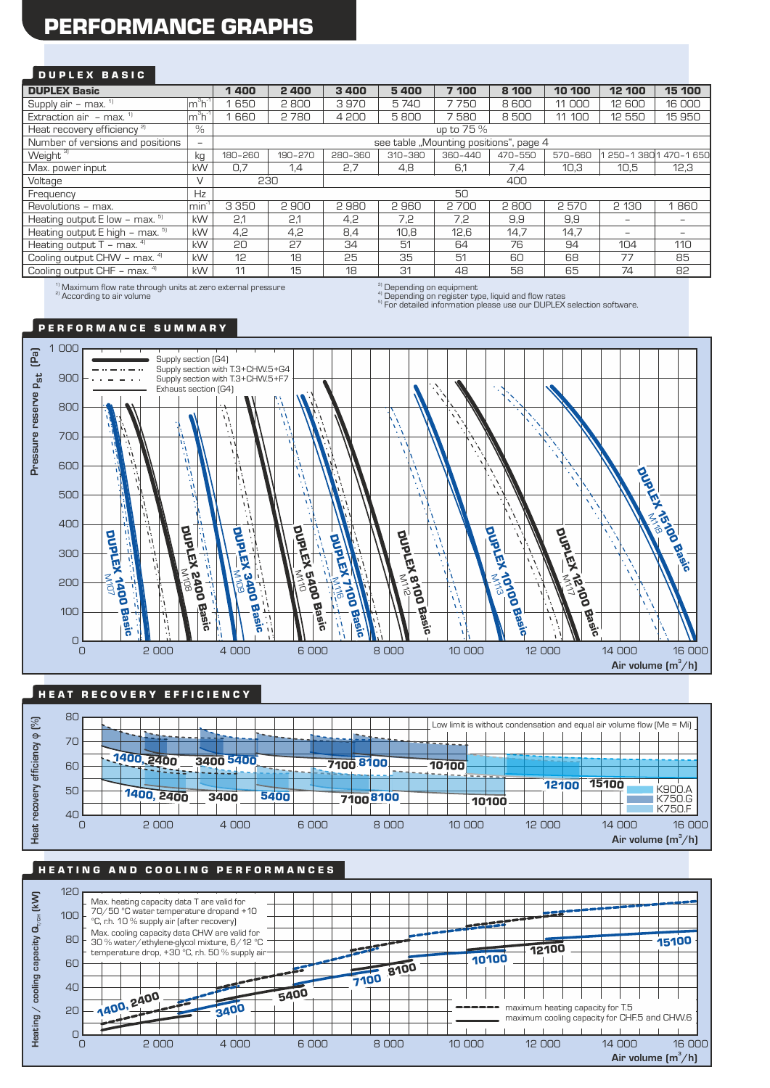## PERFORMANCE GRAPHS

#### D U P L E X B A S I C

| <b>DUPLEX Basic</b>                            |                                | 1400                                   | 2400    | 3400    | 5400    | 7 100   | 8 100   | 10 100    | 12 100                   | 15 100            |
|------------------------------------------------|--------------------------------|----------------------------------------|---------|---------|---------|---------|---------|-----------|--------------------------|-------------------|
| Supply air - max. $1$                          | $m^3h^4$                       | 650                                    | 2800    | 3970    | 5740    | 7750    | 8600    | 11 000    | 12 600                   | 16 000            |
| Extraction air $-$ max. $1$                    | Im <sup>3</sup> h <sup>1</sup> | 660                                    | 2780    | 4200    | 5800    | 7580    | 8500    | 100<br>11 | 12 550                   | 15950             |
| Heat recovery efficiency <sup>2)</sup>         | $\%$                           | up to 75 %                             |         |         |         |         |         |           |                          |                   |
| Number of versions and positions               | $\overline{\phantom{0}}$       | see table "Mounting positions", page 4 |         |         |         |         |         |           |                          |                   |
| Weight <sup>3</sup>                            | kg                             | 180-260                                | 190-270 | 280-360 | 310-380 | 360-440 | 470-550 | 570-660   | 250-13801                | 470-1650          |
| Max. power input                               | kW                             | 0.7                                    | 1.4     | 2.7     | 4,8     | 6.1     | 7,4     | 10,3      | 10,5                     | 12,3              |
| Voltage                                        | $\vee$                         | 230                                    |         |         |         |         | 400     |           |                          |                   |
| Frequency                                      | Hz                             |                                        |         |         |         | 50      |         |           |                          |                   |
| Revolutions - max.                             | $min-1$                        | 3 3 5 0                                | 2900    | 2980    | 2960    | 2700    | 2800    | 2570      | 2 130                    | 860               |
| Heating output $E$ low - max. $5$              | <b>kW</b>                      | 2.1                                    | 2.1     | 4,2     | 7,2     | 7,2     | 9.9     | 9.9       | $\overline{\phantom{m}}$ |                   |
| Heating output $E$ high – max. $5$             | kW                             | 4.2                                    | 4.2     | 8.4     | 10.8    | 12.6    | 14.7    | 14.7      | $\overline{\phantom{m}}$ | $\qquad \qquad -$ |
| Heating output $T - \text{max.}$ <sup>4)</sup> | kW                             | 20                                     | 27      | 34      | 51      | 64      | 76      | 94        | 104                      | 110               |
| Cooling output CHW - max. 41                   | <b>kW</b>                      | 12                                     | 18      | 25      | 35      | 51      | 60      | 68        | 77                       | 85                |
| Cooling output CHF - max. $41$                 | <b>kW</b>                      | 11                                     | 15      | 18      | 31      | 48      | 58      | 65        | 74                       | 82                |

 $\sqrt{1}$  Maximum flow rate through units at zero external pressure <sup>2)</sup> According to air volume

<sup>1</sup> Depending on equipment

<sup>4)</sup> Depending on register type, liquid and flow rates<br><sup>5)</sup> For detailed information please use our DUPLEX selection software.

#### P E R F O R M A N C E S U M M A R Y



#### HE AT RECOVERY EFFICIENCY



#### HEATING AND COOLING PERFORMANCES

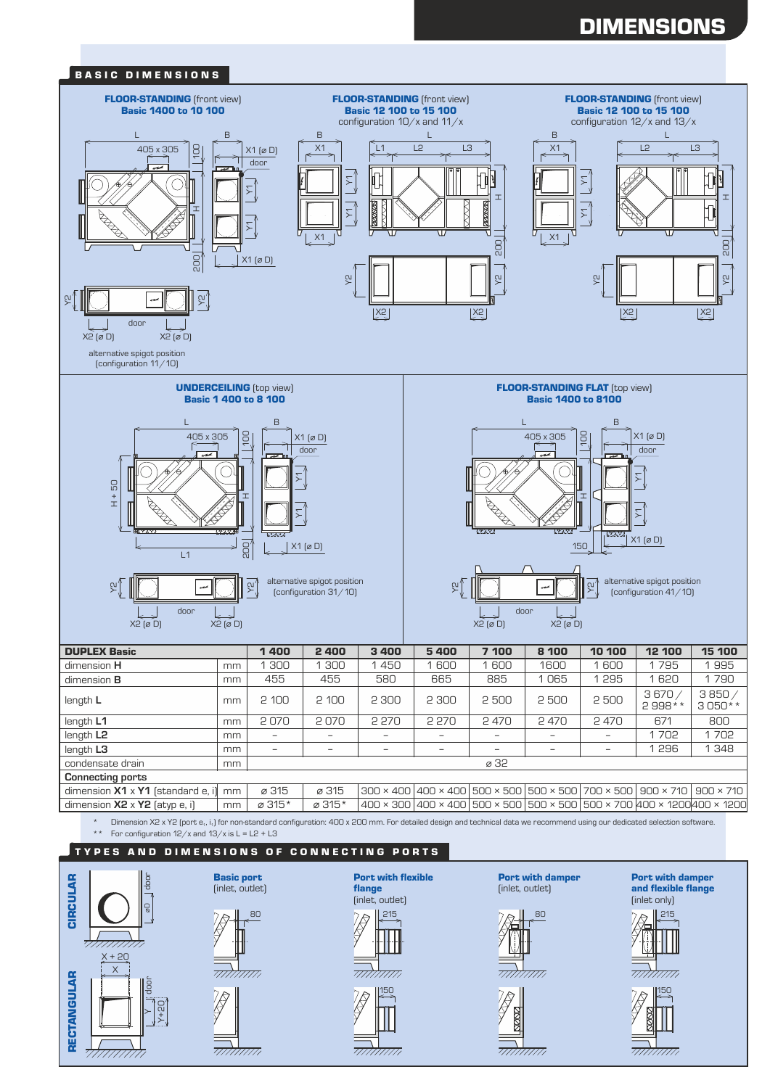## **DIMENSIONS**













गागेगाग







गागागा

(inlet only)





गागेगाग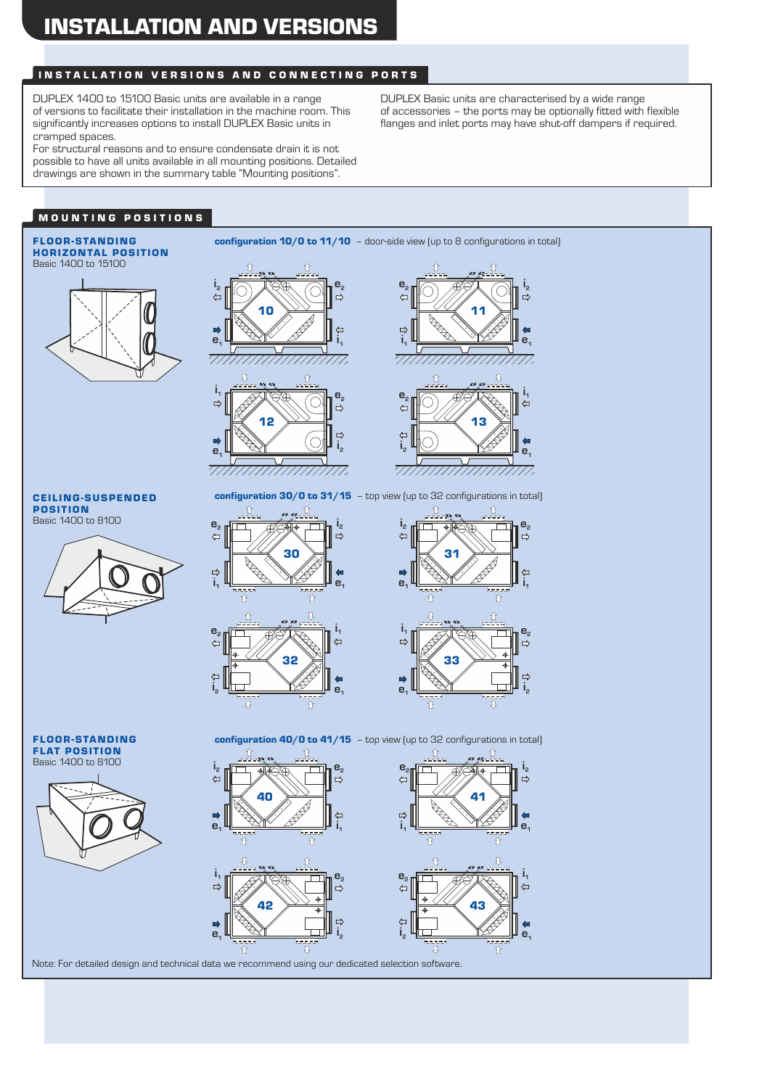## INSTALLATION VERSIONS AND CONNECTING PORTS

DUPLEX 1400 to 15100 Basic units are available in a range of versions to facilitate their installation in the machine room. This significantly increases options to install DUPLEX Basic units in cramped spaces.

For structural reasons and to ensure condensate drain it is not possible to have all units available in all mounting positions. Detailed drawings are shown in the summary table "Mounting positions".

DUPLEX Basic units are characterised by a wide range of accessories – the ports may be optionally fitted with flexible flanges and inlet ports may have shut-off dampers if required.

## MOUNTING POSITIONS



Note: For detailed design and technical data we recommend using our dedicated selection software.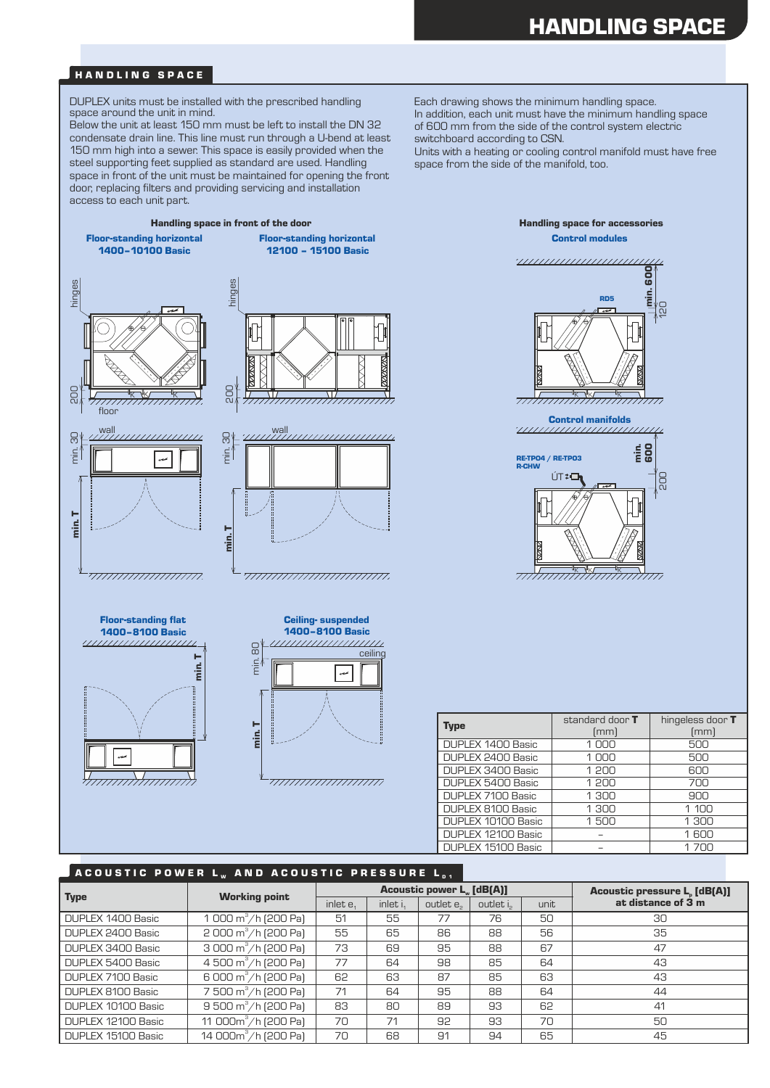#### HANDLING SPACE

DUPLEX units must be installed with the prescribed handling space around the unit in mind.

Below the unit at least 150 mm must be left to install the DN 32 condensate drain line. This line must run through a U-bend at least 150 mm high into a sewer. This space is easily provided when the steel supporting feet supplied as standard are used. Handling space in front of the unit must be maintained for opening the front door, replacing filters and providing servicing and installation access to each unit part.

Each drawing shows the minimum handling space. In addition, each unit must have the minimum handling space of 600 mm from the side of the control system electric switchboard according to CSN.

Units with a heating or cooling control manifold must have free space from the side of the manifold, too.



#### ACOUSTIC POWER L. AND ACOUSTIC PRESSURE

|                    |                                      | <b>Acoustic power L. [dB[A]]</b> |                      |                       |                       |      | <b>Acoustic pressure L. [dB(A)]</b> |  |
|--------------------|--------------------------------------|----------------------------------|----------------------|-----------------------|-----------------------|------|-------------------------------------|--|
| <b>Type</b>        | <b>Working point</b>                 | inlet $e_1$                      | inlet i <sub>1</sub> | outlet e <sub>2</sub> | outlet i <sub>2</sub> | unit | at distance of 3 m                  |  |
| DUPLEX 1400 Basic  | 1 000 $\text{m}^3/\text{h}$ [200 Pa] | 51                               | 55                   | 77                    | 76                    | 50   | 30                                  |  |
| DUPLEX 2400 Basic  | $2000 \text{ m}^3/\text{h}$ (200 Pa) | 55                               | 65                   | 86                    | 88                    | 56   | 35                                  |  |
| DUPLEX 3400 Basic  | $3000 \text{ m}^3/\text{h}$ [200 Pa] | 73                               | 69                   | 95                    | 88                    | 67   | 47                                  |  |
| DUPLEX 5400 Basic  | 4 500 m <sup>3</sup> /h (200 Pa)     | 77                               | 64                   | 98                    | 85                    | 64   | 43                                  |  |
| DUPLEX 7100 Basic  | 6 000 $\text{m}^3/\text{h}$ (200 Pa) | 62                               | 63                   | 87                    | 85                    | 63   | 43                                  |  |
| DUPLEX 8100 Basic  | 7 500 m <sup>3</sup> /h (200 Pa)     | 71                               | 64                   | 95                    | 88                    | 64   | 44                                  |  |
| DUPLEX 10100 Basic | $9500 \text{ m}^3/\text{h}$ [200 Pa] | 83                               | 80                   | 89                    | 93                    | 62   | 41                                  |  |
| DUPLEX 12100 Basic | 11 000m <sup>3</sup> /h (200 Pa)     | 70                               | 71                   | 92                    | 93                    | 70   | 50                                  |  |
| DUPLEX 15100 Basic | 14 000m <sup>3</sup> /h (200 Pa)     | 70                               | 68                   | 91                    | 94                    | 65   | 45                                  |  |

**DUPLEX 15100 Basic**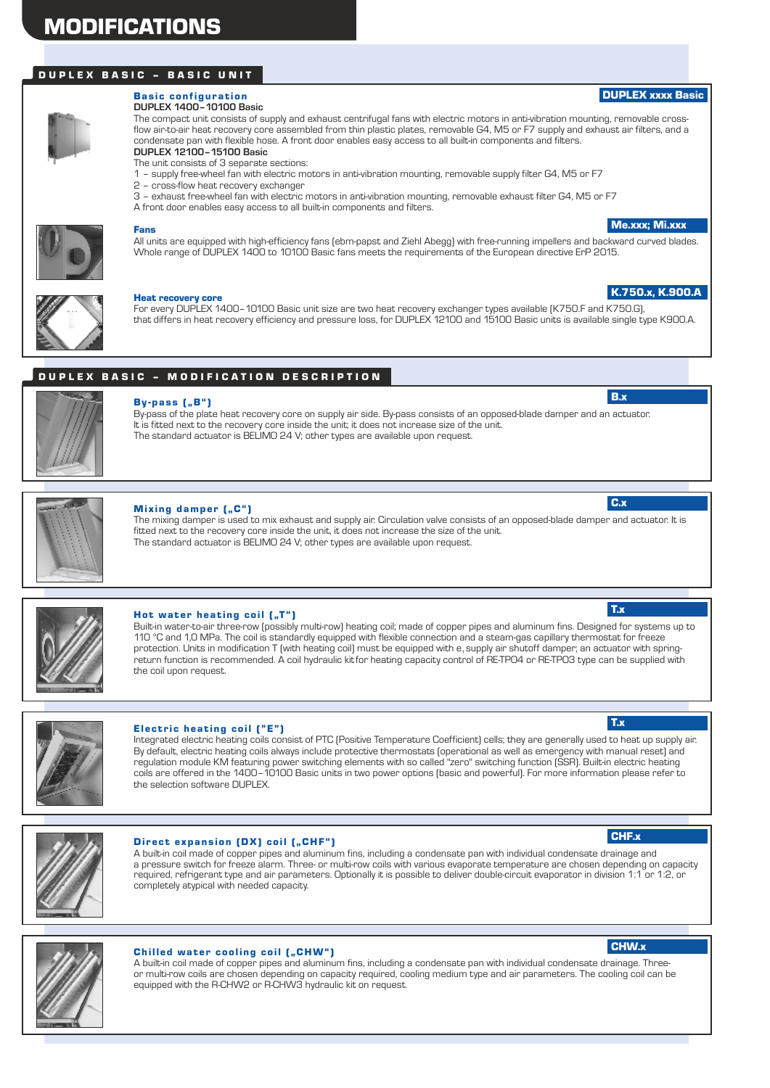#### D U P L E X B A S I C – B A S I C U N I T



#### **DUPLEX 1400–10100 Basic**

The compact unit consists of supply and exhaust centrifugal fans with electric motors in anti-vibration mounting, removable crossflow air-to-air heat recovery core assembled from thin plastic plates, removable G4, M5 or F7 supply and exhaust air filters, and a condensate pan with flexible hose. A front door enables easy access to all built-in components and filters. **DUPLEX 12100–15100 Basic**

The unit consists of 3 separate sections:

1 – supply free-wheel fan with electric motors in anti-vibration mounting, removable supply filter G4, M5 or F7

- 2 cross-flow heat recovery exchanger
- 3 exhaust free-wheel fan with electric motors in anti-vibration mounting, removable exhaust filter G4, M5 or F7 A front door enables easy access to all built-in components and filters.



#### Fans

All units are equipped with high-efficiency fans (ebm-papst and Ziehl Abegg) with free-running impellers and backward curved blades. Whole range of DUPLEX 1400 to 10100 Basic fans meets the requirements of the European directive ErP 2015.



#### Heat recovery core

For every DUPLEX 1400–10100 Basic unit size are two heat recovery exchanger types available (K750.F and K750.G), that differs in heat recovery efficiency and pressure loss, for DUPLEX 12100 and 15100 Basic units is available single type K900.A.

#### DUPLEX BASIC - MODIFICATION DESCRIPTION



#### $By-pass$   $[, B"$

By-pass of the plate heat recovery core on supply air side. By-pass consists of an opposed-blade damper and an actuator. It is fitted next to the recovery core inside the unit; it does not increase size of the unit. The standard actuator is BELIMO 24 V; other types are available upon request.



#### Mixing damper ("C")

The mixing damper is used to mix exhaust and supply air. Circulation valve consists of an opposed-blade damper and actuator. It is fitted next to the recovery core inside the unit, it does not increase the size of the unit. The standard actuator is BELIMO 24 V; other types are available upon request.



#### Hot water heating coil ("T")

Built-in water-to-air three-row (possibly multi-row) heating coil; made of copper pipes and aluminum fins. Designed for systems up to 110 °C and 1,0 MPa. The coil is standardly equipped with flexible connection and a steam-gas capillary thermostat for freeze protection. Units in modification T (with heating coil) must be equipped with e<sub>1</sub> supply air shutoff damper; an actuator with springreturn function is recommended. A coil hydraulic kitfor heating capacity control of RE-TPO4 or RE-TPO3 type can be supplied with the coil upon request.



#### Electric heating coil ("E")

Integrated electric heating coils consist of PTC (Positive Temperature Coefficient) cells; they are generally used to heat up supply air. By default, electric heating coils always include protective thermostats (operational as well as emergency with manual reset) and regulation module KM featuring power switching elements with so called "zero" switching function (SSR). Built-in electric heating coils are offered in the 1400–10100 Basic units in two power options (basic and powerful). For more information please refer to the selection software DUPLEX.



#### Direct expansion (DX) coil ("CHF")

A built-in coil made of copper pipes and aluminum fins, including a condensate pan with individual condensate drainage and a pressure switch for freeze alarm. Three- or multi-row coils with various evaporate temperature are chosen depending on capacity required, refrigerant type and air parameters. Optionally it is possible to deliver double-circuit evaporator in division 1:1 or 1:2, or completely atypical with needed capacity.



#### Chilled water cooling coil ("CHW")

A built-in coil made of copper pipes and aluminum fins, including a condensate pan with individual condensate drainage. Threeor multi-row coils are chosen depending on capacity required, cooling medium type and air parameters. The cooling coil can be equipped with the R-CHW2 or R-CHW3 hydraulic kit on request.

CHF.x

T.x

T.x

CHW.x



Me.xxx; Mi.xxx

K.750.x, K.900.A

C.x

B.x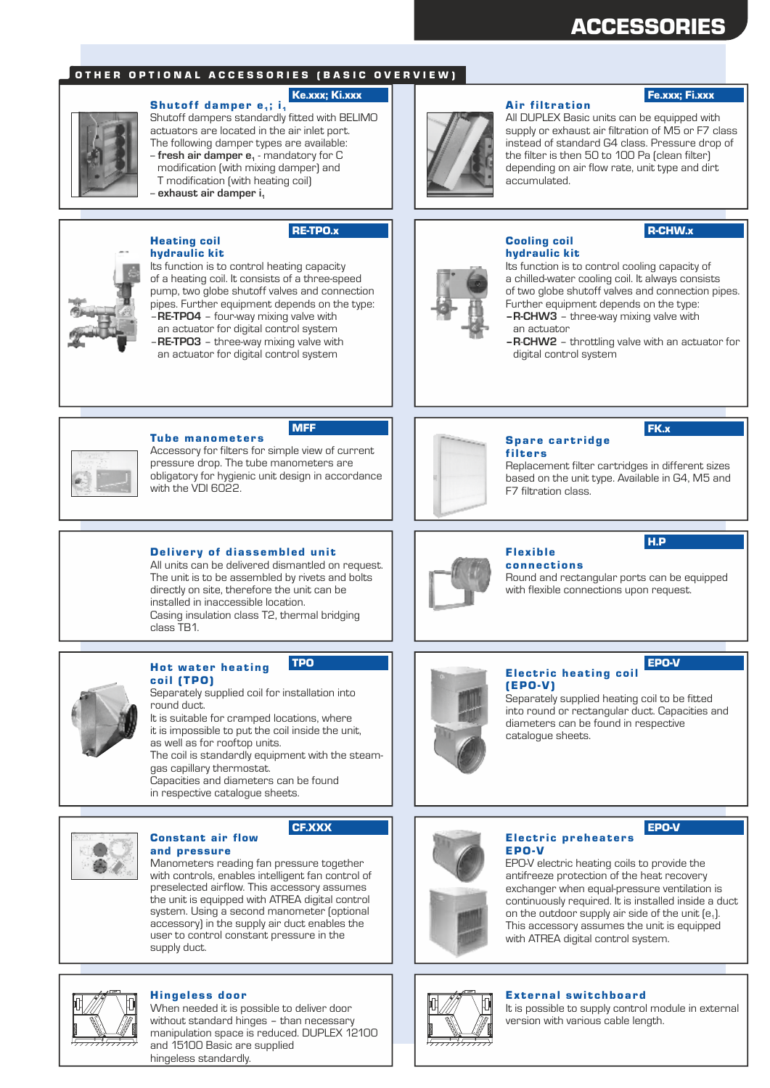## ACCESSORIES

#### OTHER OPTIONAL ACCESSORIES (BASIC OVERVIEW)

# Shutoff damper  $e_1$ ; i<sub>1</sub>

Shutoff dampers standardly fitted with BELIMO actuators are located in the air inlet port. The following damper types are available: -- **fresh air damper e** - mandatory for C **<sup>1</sup>** modification (with mixing damper) and T modification (with heating coil)

-- **exhaust air damper i<sup>1</sup>**

## Heating coil hydraulic kit

#### RE-TPO.x

Ke.xxx; Ki.xxx



Its function is to control heating capacity of a heating coil. It consists of a three-speed pump, two globe shutoff valves and connection pipes. Further equipment depends on the type: –**RE-TPO4** – four-way mixing valve with an actuator for digital control system –**RE-TPO3** – three-way mixing valve with an actuator for digital control system



#### **Air filtration**

#### Fe.xxx; Fi.xxx

All DUPLEX Basic units can be equipped with supply or exhaust air filtration of M5 or F7 class instead of standard G4 class. Pressure drop of the filter is then 50 to 100 Pa (clean filter) depending on air flow rate, unit type and dirt accumulated.

# Cooling coil

#### R-CHW.x

hydraulic kit Its function is to control cooling capacity of a chilled-water cooling coil. It always consists of two globe shutoff valves and connection pipes. Further equipment depends on the type:

- **–R-CHW3** three-way mixing valve with an actuator
- **–R**-**CHW2** throttling valve with an actuator for digital control system

#### **Tube manometers** MFF

Accessory for filters for simple view of current pressure drop. The tube manometers are obligatory for hygienic unit design in accordance with the VDI 6022.

#### Delivery of diassembled unit

All units can be delivered dismantled on request. The unit is to be assembled by rivets and bolts directly on site, therefore the unit can be installed in inaccessible location. Casing insulation class T2, thermal bridging class TB1.



## Hot water heating

coil (TPO) Separately supplied coil for installation into round duct.

It is suitable for cramped locations, where it is impossible to put the coil inside the unit, as well as for rooftop units. The coil is standardly equipment with the steamgas capillary thermostat. Capacities and diameters can be found in respective catalogue sheets.



#### Constant air flow CF.XXX

and pressure Manometers reading fan pressure together with controls, enables intelligent fan control of preselected airflow. This accessory assumes the unit is equipped with ATREA digital control system. Using a second manometer (optional accessory) in the supply air duct enables the user to control constant pressure in the supply duct.



#### Hingeless door

When needed it is possible to deliver door without standard hinges – than necessary manipulation space is reduced. DUPLEX 12100 and 15100 Basic are supplied hingeless standardly.



## FK.x

filters Replacement filter cartridges in different sizes based on the unit type. Available in G4, M5 and F7 filtration class.



#### Flex ible **connections**

Round and rectangular ports can be equipped with flexible connections upon request.



#### TPO EPO-V (EPO-V)

Separately supplied heating coil to be fitted into round or rectangular duct. Capacities and diameters can be found in respective catalogue sheets.



#### Electric preheaters EPO-V EPO-V

EPO-V electric heating coils to provide the antifreeze protection of the heat recovery exchanger when equal-pressure ventilation is continuously required. It is installed inside a duct on the outdoor supply air side of the unit  $[e_1]$ . This accessory assumes the unit is equipped with ATREA digital control system.



#### External switchboard

It is possible to supply control module in external version with various cable length.



H.P